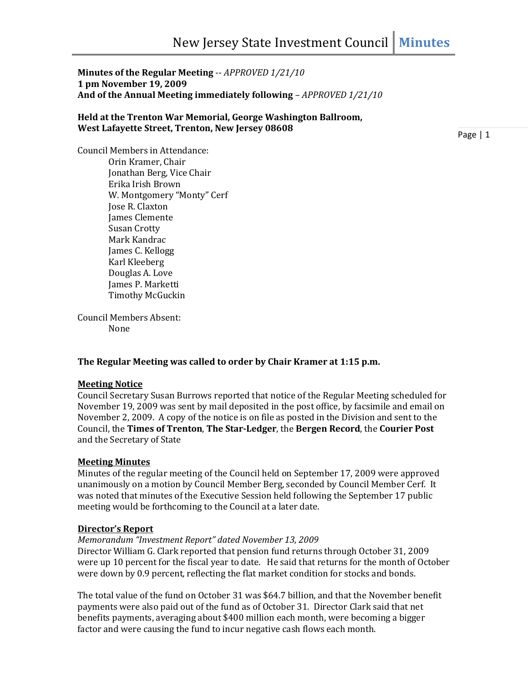**Minutes of the Regular Meeting** -- *APPROVED 1/21/10* **1 pm November 19, 2009 And of the Annual Meeting immediately following** *– APPROVED 1/21/10*

#### **Held at the Trenton War Memorial, George Washington Ballroom, West Lafayette Street, Trenton, New Jersey 08608**

Page | 1

Council Members in Attendance: Orin Kramer, Chair Jonathan Berg, Vice Chair Erika Irish Brown W. Montgomery "Monty" Cerf Jose R. Claxton James Clemente Susan Crotty Mark Kandrac James C. Kellogg Karl Kleeberg Douglas A. Love James P. Marketti Timothy McGuckin

Council Members Absent: None

### **The Regular Meeting was called to order by Chair Kramer at 1:15 p.m.**

### **Meeting Notice**

Council Secretary Susan Burrows reported that notice of the Regular Meeting scheduled for November 19, 2009 was sent by mail deposited in the post office, by facsimile and email on November 2, 2009. A copy of the notice is on file as posted in the Division and sent to the Council, the **Times of Trenton**, **The Star-Ledger**, the **Bergen Record**, the **Courier Post** and the Secretary of State

### **Meeting Minutes**

Minutes of the regular meeting of the Council held on September 17, 2009 were approved unanimously on a motion by Council Member Berg, seconded by Council Member Cerf. It was noted that minutes of the Executive Session held following the September 17 public meeting would be forthcoming to the Council at a later date.

### **Director's Report**

# *Memorandum "Investment Report" dated November 13, 2009*

Director William G. Clark reported that pension fund returns through October 31, 2009 were up 10 percent for the fiscal year to date. He said that returns for the month of October were down by 0.9 percent, reflecting the flat market condition for stocks and bonds.

The total value of the fund on October 31 was \$64.7 billion, and that the November benefit payments were also paid out of the fund as of October 31. Director Clark said that net benefits payments, averaging about \$400 million each month, were becoming a bigger factor and were causing the fund to incur negative cash flows each month.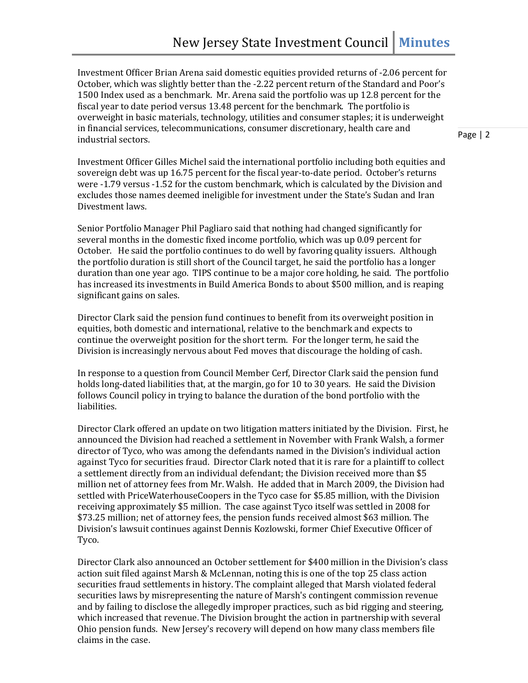Investment Officer Brian Arena said domestic equities provided returns of -2.06 percent for October, which was slightly better than the -2.22 percent return of the Standard and Poor's 1500 Index used as a benchmark. Mr. Arena said the portfolio was up 12.8 percent for the fiscal year to date period versus 13.48 percent for the benchmark. The portfolio is overweight in basic materials, technology, utilities and consumer staples; it is underweight in financial services, telecommunications, consumer discretionary, health care and industrial sectors.

Page | 2

Investment Officer Gilles Michel said the international portfolio including both equities and sovereign debt was up 16.75 percent for the fiscal year-to-date period. October's returns were -1.79 versus -1.52 for the custom benchmark, which is calculated by the Division and excludes those names deemed ineligible for investment under the State's Sudan and Iran Divestment laws.

Senior Portfolio Manager Phil Pagliaro said that nothing had changed significantly for several months in the domestic fixed income portfolio, which was up 0.09 percent for October. He said the portfolio continues to do well by favoring quality issuers. Although the portfolio duration is still short of the Council target, he said the portfolio has a longer duration than one year ago. TIPS continue to be a major core holding, he said. The portfolio has increased its investments in Build America Bonds to about \$500 million, and is reaping significant gains on sales.

Director Clark said the pension fund continues to benefit from its overweight position in equities, both domestic and international, relative to the benchmark and expects to continue the overweight position for the short term. For the longer term, he said the Division is increasingly nervous about Fed moves that discourage the holding of cash.

In response to a question from Council Member Cerf, Director Clark said the pension fund holds long-dated liabilities that, at the margin, go for 10 to 30 years. He said the Division follows Council policy in trying to balance the duration of the bond portfolio with the liabilities.

Director Clark offered an update on two litigation matters initiated by the Division. First, he announced the Division had reached a settlement in November with Frank Walsh, a former director of Tyco, who was among the defendants named in the Division's individual action against Tyco for securities fraud. Director Clark noted that it is rare for a plaintiff to collect a settlement directly from an individual defendant; the Division received more than \$5 million net of attorney fees from Mr. Walsh. He added that in March 2009, the Division had settled with PriceWaterhouseCoopers in the Tyco case for \$5.85 million, with the Division receiving approximately \$5 million. The case against Tyco itself was settled in 2008 for \$73.25 million; net of attorney fees, the pension funds received almost \$63 million. The Division's lawsuit continues against Dennis Kozlowski, former Chief Executive Officer of Tyco.

Director Clark also announced an October settlement for \$400 million in the Division's class action suit filed against Marsh & McLennan, noting this is one of the top 25 class action securities fraud settlements in history. The complaint alleged that Marsh violated federal securities laws by misrepresenting the nature of Marsh's contingent commission revenue and by failing to disclose the allegedly improper practices, such as bid rigging and steering, which increased that revenue. The Division brought the action in partnership with several Ohio pension funds. New Jersey's recovery will depend on how many class members file claims in the case.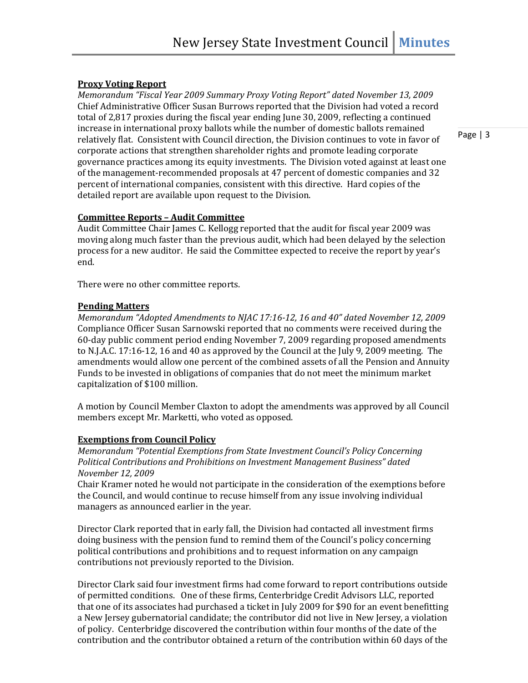### **Proxy Voting Report**

*Memorandum "Fiscal Year 2009 Summary Proxy Voting Report" dated November 13, 2009* Chief Administrative Officer Susan Burrows reported that the Division had voted a record total of 2,817 proxies during the fiscal year ending June 30, 2009, reflecting a continued increase in international proxy ballots while the number of domestic ballots remained relatively flat. Consistent with Council direction, the Division continues to vote in favor of corporate actions that strengthen shareholder rights and promote leading corporate governance practices among its equity investments. The Division voted against at least one of the management-recommended proposals at 47 percent of domestic companies and 32 percent of international companies, consistent with this directive. Hard copies of the detailed report are available upon request to the Division.

Page | 3

# **Committee Reports – Audit Committee**

Audit Committee Chair James C. Kellogg reported that the audit for fiscal year 2009 was moving along much faster than the previous audit, which had been delayed by the selection process for a new auditor. He said the Committee expected to receive the report by year's end.

There were no other committee reports.

### **Pending Matters**

*Memorandum "Adopted Amendments to NJAC 17:16-12, 16 and 40" dated November 12, 2009* Compliance Officer Susan Sarnowski reported that no comments were received during the 60-day public comment period ending November 7, 2009 regarding proposed amendments to N.J.A.C. 17:16-12, 16 and 40 as approved by the Council at the July 9, 2009 meeting. The amendments would allow one percent of the combined assets of all the Pension and Annuity Funds to be invested in obligations of companies that do not meet the minimum market capitalization of \$100 million.

A motion by Council Member Claxton to adopt the amendments was approved by all Council members except Mr. Marketti, who voted as opposed.

### **Exemptions from Council Policy**

*Memorandum "Potential Exemptions from State Investment Council's Policy Concerning Political Contributions and Prohibitions on Investment Management Business" dated November 12, 2009*

Chair Kramer noted he would not participate in the consideration of the exemptions before the Council, and would continue to recuse himself from any issue involving individual managers as announced earlier in the year.

Director Clark reported that in early fall, the Division had contacted all investment firms doing business with the pension fund to remind them of the Council's policy concerning political contributions and prohibitions and to request information on any campaign contributions not previously reported to the Division.

Director Clark said four investment firms had come forward to report contributions outside of permitted conditions. One of these firms, Centerbridge Credit Advisors LLC, reported that one of its associates had purchased a ticket in July 2009 for \$90 for an event benefitting a New Jersey gubernatorial candidate; the contributor did not live in New Jersey, a violation of policy. Centerbridge discovered the contribution within four months of the date of the contribution and the contributor obtained a return of the contribution within 60 days of the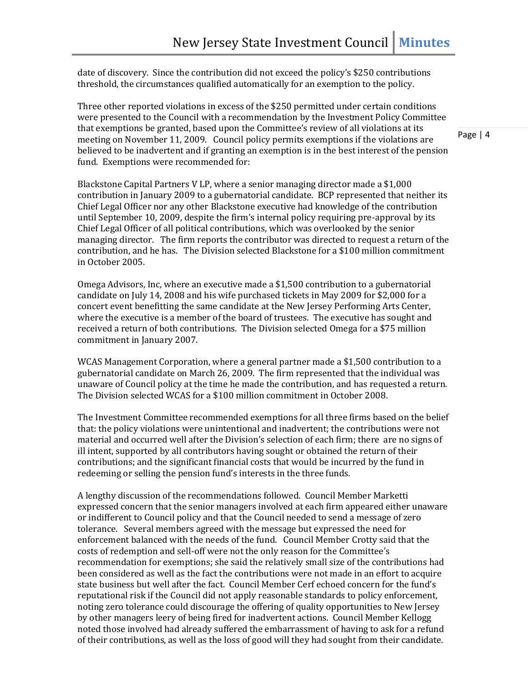date of discovery. Since the contribution did not exceed the policy's \$250 contributions threshold, the circumstances qualified automatically for an exemption to the policy.

Three other reported violations in excess of the \$250 permitted under certain conditions were presented to the Council with a recommendation by the Investment Policy Committee that exemptions be granted, based upon the Committee's review of all violations at its meeting on November 11, 2009. Council policy permits exemptions if the violations are believed to be inadvertent and if granting an exemption is in the best interest of the pension fund. Exemptions were recommended for:

Blackstone Capital Partners V LP, where a senior managing director made a \$1,000 contribution in January 2009 to a gubernatorial candidate. BCP represented that neither its Chief Legal Officer nor any other Blackstone executive had knowledge of the contribution until September 10, 2009, despite the firm's internal policy requiring pre-approval by its Chief Legal Officer of all political contributions, which was overlooked by the senior managing director. The firm reports the contributor was directed to request a return of the contribution, and he has. The Division selected Blackstone for a \$100 million commitment in October 2005.

Omega Advisors, Inc, where an executive made a \$1,500 contribution to a gubernatorial candidate on July 14, 2008 and his wife purchased tickets in May 2009 for \$2,000 for a concert event benefitting the same candidate at the New Jersey Performing Arts Center, where the executive is a member of the board of trustees. The executive has sought and received a return of both contributions. The Division selected Omega for a \$75 million commitment in January 2007.

WCAS Management Corporation, where a general partner made a \$1,500 contribution to a gubernatorial candidate on March 26, 2009. The firm represented that the individual was unaware of Council policy at the time he made the contribution, and has requested a return. The Division selected WCAS for a \$100 million commitment in October 2008.

The Investment Committee recommended exemptions for all three firms based on the belief that: the policy violations were unintentional and inadvertent; the contributions were not material and occurred well after the Division's selection of each firm; there are no signs of ill intent, supported by all contributors having sought or obtained the return of their contributions; and the significant financial costs that would be incurred by the fund in redeeming or selling the pension fund's interests in the three funds.

A lengthy discussion of the recommendations followed. Council Member Marketti expressed concern that the senior managers involved at each firm appeared either unaware or indifferent to Council policy and that the Council needed to send a message of zero tolerance. Several members agreed with the message but expressed the need for enforcement balanced with the needs of the fund. Council Member Crotty said that the costs of redemption and sell-off were not the only reason for the Committee's recommendation for exemptions; she said the relatively small size of the contributions had been considered as well as the fact the contributions were not made in an effort to acquire state business but well after the fact. Council Member Cerf echoed concern for the fund's reputational risk if the Council did not apply reasonable standards to policy enforcement, noting zero tolerance could discourage the offering of quality opportunities to New Jersey by other managers leery of being fired for inadvertent actions. Council Member Kellogg noted those involved had already suffered the embarrassment of having to ask for a refund of their contributions, as well as the loss of good will they had sought from their candidate.

Page | 4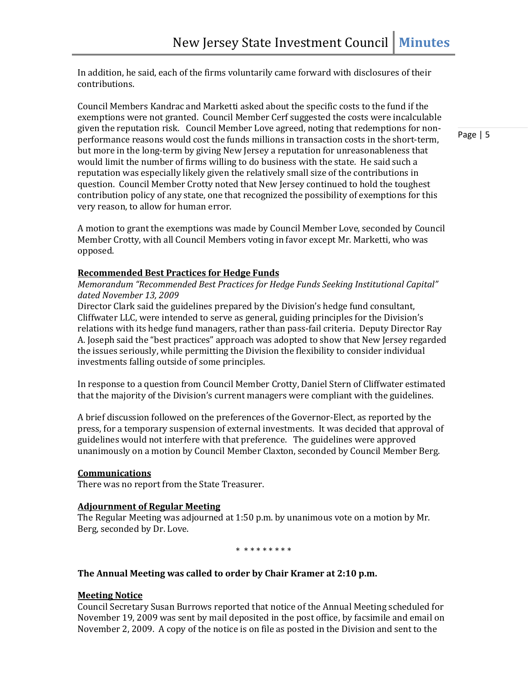In addition, he said, each of the firms voluntarily came forward with disclosures of their contributions.

Council Members Kandrac and Marketti asked about the specific costs to the fund if the exemptions were not granted. Council Member Cerf suggested the costs were incalculable given the reputation risk. Council Member Love agreed, noting that redemptions for nonperformance reasons would cost the funds millions in transaction costs in the short-term, but more in the long-term by giving New Jersey a reputation for unreasonableness that would limit the number of firms willing to do business with the state. He said such a reputation was especially likely given the relatively small size of the contributions in question. Council Member Crotty noted that New Jersey continued to hold the toughest contribution policy of any state, one that recognized the possibility of exemptions for this very reason, to allow for human error.

A motion to grant the exemptions was made by Council Member Love, seconded by Council Member Crotty, with all Council Members voting in favor except Mr. Marketti, who was opposed.

### **Recommended Best Practices for Hedge Funds**

*Memorandum "Recommended Best Practices for Hedge Funds Seeking Institutional Capital" dated November 13, 2009*

Director Clark said the guidelines prepared by the Division's hedge fund consultant, Cliffwater LLC, were intended to serve as general, guiding principles for the Division's relations with its hedge fund managers, rather than pass-fail criteria. Deputy Director Ray A. Joseph said the "best practices" approach was adopted to show that New Jersey regarded the issues seriously, while permitting the Division the flexibility to consider individual investments falling outside of some principles.

In response to a question from Council Member Crotty, Daniel Stern of Cliffwater estimated that the majority of the Division's current managers were compliant with the guidelines.

A brief discussion followed on the preferences of the Governor-Elect, as reported by the press, for a temporary suspension of external investments. It was decided that approval of guidelines would not interfere with that preference. The guidelines were approved unanimously on a motion by Council Member Claxton, seconded by Council Member Berg.

### **Communications**

There was no report from the State Treasurer.

### **Adjournment of Regular Meeting**

The Regular Meeting was adjourned at 1:50 p.m. by unanimous vote on a motion by Mr. Berg, seconded by Dr. Love.

\* \* \* \* \* \* \* \* \*

### **The Annual Meeting was called to order by Chair Kramer at 2:10 p.m.**

### **Meeting Notice**

Council Secretary Susan Burrows reported that notice of the Annual Meeting scheduled for November 19, 2009 was sent by mail deposited in the post office, by facsimile and email on November 2, 2009. A copy of the notice is on file as posted in the Division and sent to the

Page | 5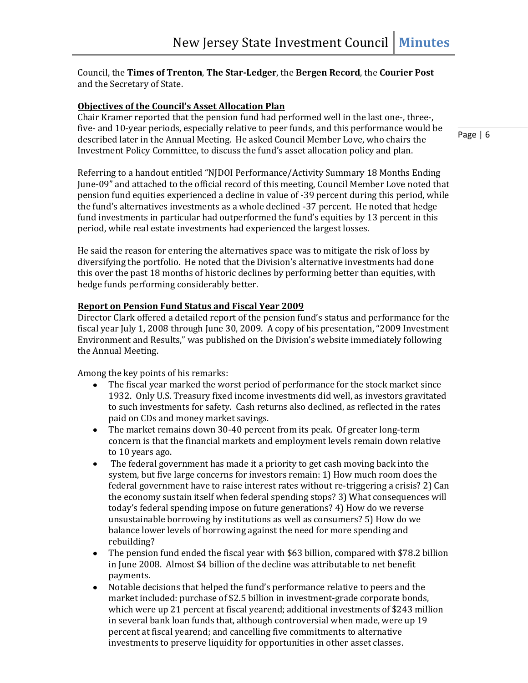# Council, the **Times of Trenton**, **The Star-Ledger**, the **Bergen Record**, the **Courier Post** and the Secretary of State.

# **Objectives of the Council's Asset Allocation Plan**

Chair Kramer reported that the pension fund had performed well in the last one-, three-, five- and 10-year periods, especially relative to peer funds, and this performance would be described later in the Annual Meeting. He asked Council Member Love, who chairs the Investment Policy Committee, to discuss the fund's asset allocation policy and plan.

Page | 6

Referring to a handout entitled "NJDOI Performance/Activity Summary 18 Months Ending June-09" and attached to the official record of this meeting, Council Member Love noted that pension fund equities experienced a decline in value of -39 percent during this period, while the fund's alternatives investments as a whole declined -37 percent. He noted that hedge fund investments in particular had outperformed the fund's equities by 13 percent in this period, while real estate investments had experienced the largest losses.

He said the reason for entering the alternatives space was to mitigate the risk of loss by diversifying the portfolio. He noted that the Division's alternative investments had done this over the past 18 months of historic declines by performing better than equities, with hedge funds performing considerably better.

### **Report on Pension Fund Status and Fiscal Year 2009**

Director Clark offered a detailed report of the pension fund's status and performance for the fiscal year July 1, 2008 through June 30, 2009. A copy of his presentation, "2009 Investment Environment and Results," was published on the Division's website immediately following the Annual Meeting.

Among the key points of his remarks:

- The fiscal year marked the worst period of performance for the stock market since  $\bullet$ 1932. Only U.S. Treasury fixed income investments did well, as investors gravitated to such investments for safety. Cash returns also declined, as reflected in the rates paid on CDs and money market savings.
- The market remains down 30-40 percent from its peak. Of greater long-term concern is that the financial markets and employment levels remain down relative to 10 years ago.
- The federal government has made it a priority to get cash moving back into the  $\bullet$ system, but five large concerns for investors remain: 1) How much room does the federal government have to raise interest rates without re-triggering a crisis? 2) Can the economy sustain itself when federal spending stops? 3) What consequences will today's federal spending impose on future generations? 4) How do we reverse unsustainable borrowing by institutions as well as consumers? 5) How do we balance lower levels of borrowing against the need for more spending and rebuilding?
- The pension fund ended the fiscal year with \$63 billion, compared with \$78.2 billion in June 2008. Almost \$4 billion of the decline was attributable to net benefit payments.
- Notable decisions that helped the fund's performance relative to peers and the market included: purchase of \$2.5 billion in investment-grade corporate bonds, which were up 21 percent at fiscal yearend; additional investments of \$243 million in several bank loan funds that, although controversial when made, were up 19 percent at fiscal yearend; and cancelling five commitments to alternative investments to preserve liquidity for opportunities in other asset classes.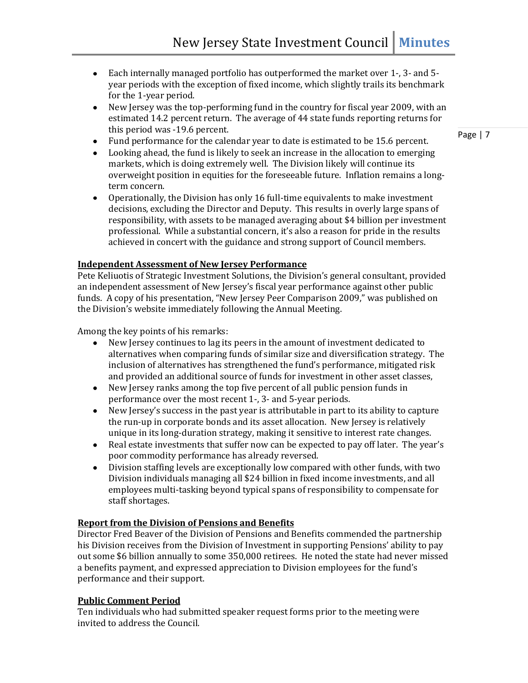- Each internally managed portfolio has outperformed the market over 1-, 3- and 5 year periods with the exception of fixed income, which slightly trails its benchmark for the 1-year period.
- New Jersey was the top-performing fund in the country for fiscal year 2009, with an estimated 14.2 percent return. The average of 44 state funds reporting returns for this period was -19.6 percent.
- Fund performance for the calendar year to date is estimated to be 15.6 percent.
- Looking ahead, the fund is likely to seek an increase in the allocation to emerging markets, which is doing extremely well. The Division likely will continue its overweight position in equities for the foreseeable future. Inflation remains a longterm concern.
- $\bullet$ Operationally, the Division has only 16 full-time equivalents to make investment decisions, excluding the Director and Deputy. This results in overly large spans of responsibility, with assets to be managed averaging about \$4 billion per investment professional. While a substantial concern, it's also a reason for pride in the results achieved in concert with the guidance and strong support of Council members.

#### **Independent Assessment of New Jersey Performance**

Pete Keliuotis of Strategic Investment Solutions, the Division's general consultant, provided an independent assessment of New Jersey's fiscal year performance against other public funds. A copy of his presentation, "New Jersey Peer Comparison 2009," was published on the Division's website immediately following the Annual Meeting.

Among the key points of his remarks:

- New Jersey continues to lag its peers in the amount of investment dedicated to alternatives when comparing funds of similar size and diversification strategy. The inclusion of alternatives has strengthened the fund's performance, mitigated risk and provided an additional source of funds for investment in other asset classes,
- New Jersey ranks among the top five percent of all public pension funds in performance over the most recent 1-, 3- and 5-year periods.
- New Jersey's success in the past year is attributable in part to its ability to capture the run-up in corporate bonds and its asset allocation. New Jersey is relatively unique in its long-duration strategy, making it sensitive to interest rate changes.
- Real estate investments that suffer now can be expected to pay off later. The year's  $\bullet$ poor commodity performance has already reversed.
- Division staffing levels are exceptionally low compared with other funds, with two  $\bullet$ Division individuals managing all \$24 billion in fixed income investments, and all employees multi-tasking beyond typical spans of responsibility to compensate for staff shortages.

#### **Report from the Division of Pensions and Benefits**

Director Fred Beaver of the Division of Pensions and Benefits commended the partnership his Division receives from the Division of Investment in supporting Pensions' ability to pay out some \$6 billion annually to some 350,000 retirees. He noted the state had never missed a benefits payment, and expressed appreciation to Division employees for the fund's performance and their support.

### **Public Comment Period**

Ten individuals who had submitted speaker request forms prior to the meeting were invited to address the Council.

Page | 7